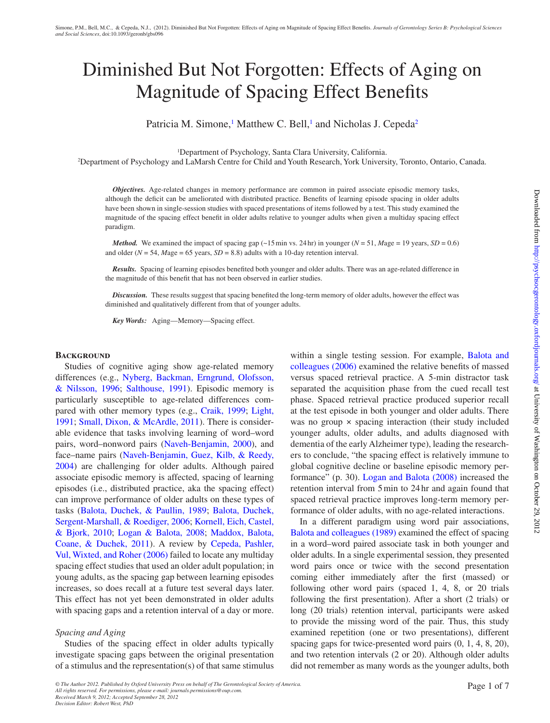# Diminished But Not Forgotten: Effects of Aging on Magnitude of Spacing Effect Benefits

Patricia M. Simone,<sup>1</sup> Matthew C. Bell,<sup>1</sup> and Nicholas J. Cepeda<sup>[2](#page-0-1)</sup>

<span id="page-0-0"></span>1 Department of Psychology, Santa Clara University, California.

<span id="page-0-1"></span>2 Department of Psychology and LaMarsh Centre for Child and Youth Research, York University, Toronto, Ontario, Canada.

*Objectives.* Age-related changes in memory performance are common in paired associate episodic memory tasks, although the deficit can be ameliorated with distributed practice. Benefits of learning episode spacing in older adults have been shown in single-session studies with spaced presentations of items followed by a test. This study examined the magnitude of the spacing effect benefit in older adults relative to younger adults when given a multiday spacing effect paradigm.

*Method.* We examined the impact of spacing gap (~15 min vs. 24 hr) in younger ( $N = 51$ ,  $Mage = 19$  years,  $SD = 0.6$ ) and older ( $N = 54$ ,  $Mage = 65$  years,  $SD = 8.8$ ) adults with a 10-day retention interval.

*Results.* Spacing of learning episodes benefited both younger and older adults. There was an age-related difference in the magnitude of this benefit that has not been observed in earlier studies.

*Discussion.* These results suggest that spacing benefited the long-term memory of older adults, however the effect was diminished and qualitatively different from that of younger adults.

*Key Words:* Aging—Memory—Spacing effect.

## **BACKGROUND**

Studies of cognitive aging show age-related memory differences (e.g., [Nyberg, Backman, Erngrund, Olofsson,](#page-6-0)  [& Nilsson, 1996;](#page-6-0) [Salthouse, 1991\)](#page-6-1). Episodic memory is particularly susceptible to age-related differences compared with other memory types (e.g., [Craik, 1999;](#page-5-0) [Light,](#page-6-2)  [1991;](#page-6-2) [Small, Dixon, & McArdle, 2011\)](#page-6-3). There is considerable evidence that tasks involving learning of word–word pairs, word–nonword pairs ([Naveh-Benjamin, 2000](#page-6-4)), and face–name pairs [\(Naveh-Benjamin, Guez, Kilb, & Reedy,](#page-6-5)  [2004\)](#page-6-5) are challenging for older adults. Although paired associate episodic memory is affected, spacing of learning episodes (i.e., distributed practice, aka the spacing effect) can improve performance of older adults on these types of tasks [\(Balota, Duchek, & Paullin, 1989;](#page-5-1) [Balota, Duchek,](#page-5-2)  [Sergent-Marshall, & Roediger, 2006;](#page-5-2) [Kornell, Eich, Castel,](#page-6-6)  [& Bjork, 2010;](#page-6-6) [Logan & Balota, 2008](#page-6-7); [Maddox, Balota,](#page-6-8)  [Coane, & Duchek, 2011](#page-6-8)). A review by [Cepeda, Pashler,](#page-5-3)  [Vul, Wixted, and Roher \(2006\)](#page-5-3) failed to locate any multiday spacing effect studies that used an older adult population; in young adults, as the spacing gap between learning episodes increases, so does recall at a future test several days later. This effect has not yet been demonstrated in older adults with spacing gaps and a retention interval of a day or more.

## *Spacing and Aging*

Studies of the spacing effect in older adults typically investigate spacing gaps between the original presentation of a stimulus and the representation(s) of that same stimulus within a single testing session. For example, [Balota and](#page-5-2) [colleagues \(2006\)](#page-5-2) examined the relative benefits of massed versus spaced retrieval practice. A 5-min distractor task separated the acquisition phase from the cued recall test phase. Spaced retrieval practice produced superior recall at the test episode in both younger and older adults. There was no group  $\times$  spacing interaction (their study included younger adults, older adults, and adults diagnosed with dementia of the early Alzheimer type), leading the researchers to conclude, "the spacing effect is relatively immune to global cognitive decline or baseline episodic memory performance" (p. 30). [Logan and Balota \(2008\)](#page-6-7) increased the retention interval from 5min to 24hr and again found that spaced retrieval practice improves long-term memory performance of older adults, with no age-related interactions.

In a different paradigm using word pair associations, [Balota and colleagues \(1989\)](#page-5-1) examined the effect of spacing in a word–word paired associate task in both younger and older adults. In a single experimental session, they presented word pairs once or twice with the second presentation coming either immediately after the first (massed) or following other word pairs (spaced 1, 4, 8, or 20 trials following the first presentation). After a short (2 trials) or long (20 trials) retention interval, participants were asked to provide the missing word of the pair. Thus, this study examined repetition (one or two presentations), different spacing gaps for twice-presented word pairs (0, 1, 4, 8, 20), and two retention intervals (2 or 20). Although older adults did not remember as many words as the younger adults, both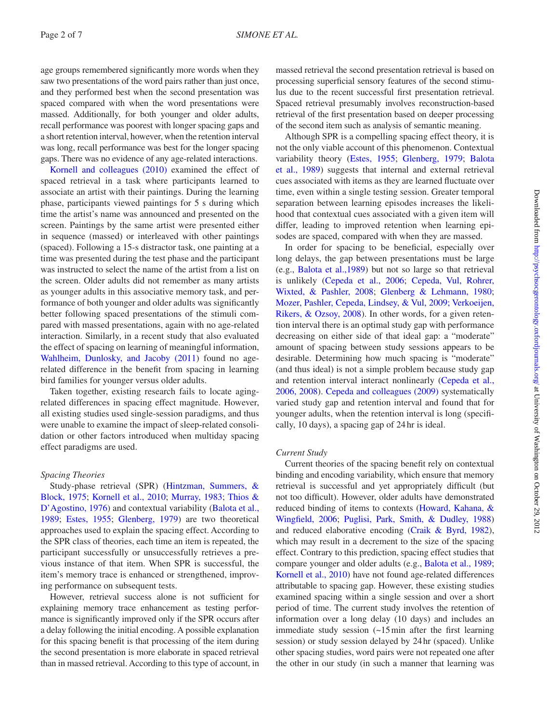age groups remembered significantly more words when they saw two presentations of the word pairs rather than just once, and they performed best when the second presentation was spaced compared with when the word presentations were massed. Additionally, for both younger and older adults, recall performance was poorest with longer spacing gaps and a short retention interval, however, when the retention interval was long, recall performance was best for the longer spacing gaps. There was no evidence of any age-related interactions.

[Kornell and colleagues \(2010\)](#page-6-6) examined the effect of spaced retrieval in a task where participants learned to associate an artist with their paintings. During the learning phase, participants viewed paintings for 5 s during which time the artist's name was announced and presented on the screen. Paintings by the same artist were presented either in sequence (massed) or interleaved with other paintings (spaced). Following a 15-s distractor task, one painting at a time was presented during the test phase and the participant was instructed to select the name of the artist from a list on the screen. Older adults did not remember as many artists as younger adults in this associative memory task, and performance of both younger and older adults was significantly better following spaced presentations of the stimuli compared with massed presentations, again with no age-related interaction. Similarly, in a recent study that also evaluated the effect of spacing on learning of meaningful information, [Wahlheim, Dunlosky, and Jacoby \(2011\)](#page-6-9) found no agerelated difference in the benefit from spacing in learning bird families for younger versus older adults.

Taken together, existing research fails to locate agingrelated differences in spacing effect magnitude. However, all existing studies used single-session paradigms, and thus were unable to examine the impact of sleep-related consolidation or other factors introduced when multiday spacing effect paradigms are used.

## *Spacing Theories*

Study-phase retrieval (SPR) ([Hintzman, Summers, &](#page-5-4)  [Block, 1975;](#page-5-4) [Kornell et al., 2010;](#page-6-6) [Murray, 1983;](#page-6-10) [Thios &](#page-6-11)  [D'Agostino, 1976](#page-6-11)) and contextual variability (Balota et al., [1989;](#page-5-1) [Estes, 1955](#page-5-5); [Glenberg, 1979\)](#page-5-6) are two theoretical approaches used to explain the spacing effect. According to the SPR class of theories, each time an item is repeated, the participant successfully or unsuccessfully retrieves a previous instance of that item. When SPR is successful, the item's memory trace is enhanced or strengthened, improving performance on subsequent tests.

However, retrieval success alone is not sufficient for explaining memory trace enhancement as testing performance is significantly improved only if the SPR occurs after a delay following the initial encoding. A possible explanation for this spacing benefit is that processing of the item during the second presentation is more elaborate in spaced retrieval than in massed retrieval. According to this type of account, in massed retrieval the second presentation retrieval is based on processing superficial sensory features of the second stimulus due to the recent successful first presentation retrieval. Spaced retrieval presumably involves reconstruction-based retrieval of the first presentation based on deeper processing of the second item such as analysis of semantic meaning.

Although SPR is a compelling spacing effect theory, it is not the only viable account of this phenomenon. Contextual variability theory [\(Estes, 1955](#page-5-5); [Glenberg, 1979](#page-5-6); [Balota](#page-5-1) [et al., 1989\)](#page-5-1) suggests that internal and external retrieval cues associated with items as they are learned fluctuate over time, even within a single testing session. Greater temporal separation between learning episodes increases the likelihood that contextual cues associated with a given item will differ, leading to improved retention when learning episodes are spaced, compared with when they are massed.

In order for spacing to be beneficial, especially over long delays, the gap between presentations must be large (e.g., [Balota et al.,1989](#page-5-1)) but not so large so that retrieval is unlikely [\(Cepeda et al., 2006;](#page-5-3) [Cepeda, Vul, Rohrer,](#page-5-7) [Wixted, & Pashler, 2008](#page-5-7); [Glenberg & Lehmann, 1980](#page-5-8); [Mozer, Pashler, Cepeda, Lindsey, & Vul, 2009;](#page-6-12) [Verkoeijen,](#page-6-13) [Rikers, & Ozsoy, 2008](#page-6-13)). In other words, for a given retention interval there is an optimal study gap with performance decreasing on either side of that ideal gap: a "moderate" amount of spacing between study sessions appears to be desirable. Determining how much spacing is "moderate" (and thus ideal) is not a simple problem because study gap and retention interval interact nonlinearly ([Cepeda et al.,](#page-5-3) [2006](#page-5-3)[, 2008](#page-5-7)). [Cepeda and colleagues \(2009\)](#page-5-9) systematically varied study gap and retention interval and found that for younger adults, when the retention interval is long (specifically, 10 days), a spacing gap of 24 hr is ideal.

## *Current Study*

Current theories of the spacing benefit rely on contextual binding and encoding variability, which ensure that memory retrieval is successful and yet appropriately difficult (but not too difficult). However, older adults have demonstrated reduced binding of items to contexts [\(Howard, Kahana, &](#page-6-14) [Wingfield, 2006](#page-6-14); [Puglisi, Park, Smith, & Dudley, 1988\)](#page-6-15) and reduced elaborative encoding ([Craik & Byrd, 1982](#page-5-10)), which may result in a decrement to the size of the spacing effect. Contrary to this prediction, spacing effect studies that compare younger and older adults (e.g., [Balota et al., 1989](#page-5-1); [Kornell et al., 2010](#page-6-6)) have not found age-related differences attributable to spacing gap. However, these existing studies examined spacing within a single session and over a short period of time. The current study involves the retention of information over a long delay (10 days) and includes an immediate study session (~15min after the first learning session) or study session delayed by 24hr (spaced). Unlike other spacing studies, word pairs were not repeated one after the other in our study (in such a manner that learning was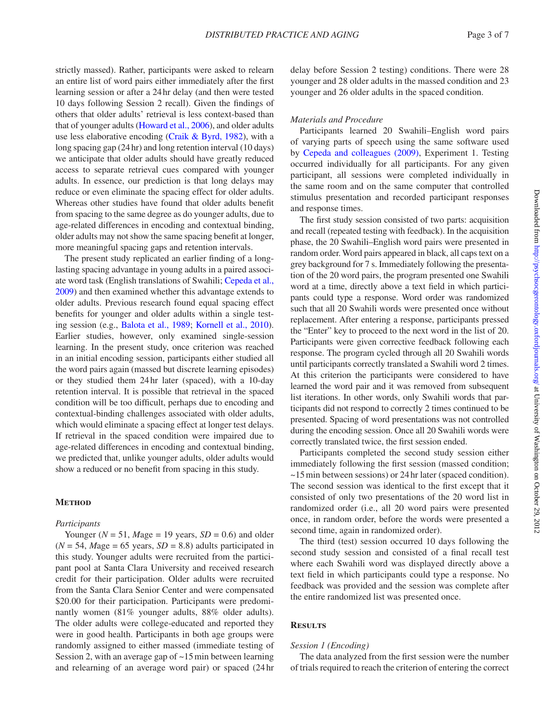strictly massed). Rather, participants were asked to relearn an entire list of word pairs either immediately after the first learning session or after a 24hr delay (and then were tested 10 days following Session 2 recall). Given the findings of others that older adults' retrieval is less context-based than that of younger adults [\(Howard et al., 2006\)](#page-6-14), and older adults use less elaborative encoding ([Craik & Byrd, 1982](#page-5-10)), with a long spacing gap (24hr) and long retention interval (10 days) we anticipate that older adults should have greatly reduced access to separate retrieval cues compared with younger adults. In essence, our prediction is that long delays may reduce or even eliminate the spacing effect for older adults. Whereas other studies have found that older adults benefit from spacing to the same degree as do younger adults, due to age-related differences in encoding and contextual binding, older adults may not show the same spacing benefit at longer, more meaningful spacing gaps and retention intervals.

The present study replicated an earlier finding of a longlasting spacing advantage in young adults in a paired associate word task (English translations of Swahili; [Cepeda et al.,](#page-5-9)  [2009\)](#page-5-9) and then examined whether this advantage extends to older adults. Previous research found equal spacing effect benefits for younger and older adults within a single testing session (e.g., [Balota et al., 1989;](#page-5-1) [Kornell et al., 2010\)](#page-6-6). Earlier studies, however, only examined single-session learning. In the present study, once criterion was reached in an initial encoding session, participants either studied all the word pairs again (massed but discrete learning episodes) or they studied them 24hr later (spaced), with a 10-day retention interval. It is possible that retrieval in the spaced condition will be too difficult, perhaps due to encoding and contextual-binding challenges associated with older adults, which would eliminate a spacing effect at longer test delays. If retrieval in the spaced condition were impaired due to age-related differences in encoding and contextual binding, we predicted that, unlike younger adults, older adults would show a reduced or no benefit from spacing in this study.

## **Method**

#### *Participants*

Younger ( $N = 51$ , *Mage* = 19 years, *SD* = 0.6) and older  $(N = 54, \text{~}$  *Mage* = 65 years,  $SD = 8.8$ ) adults participated in this study. Younger adults were recruited from the participant pool at Santa Clara University and received research credit for their participation. Older adults were recruited from the Santa Clara Senior Center and were compensated \$20.00 for their participation. Participants were predominantly women (81% younger adults, 88% older adults). The older adults were college-educated and reported they were in good health. Participants in both age groups were randomly assigned to either massed (immediate testing of Session 2, with an average gap of ~15min between learning and relearning of an average word pair) or spaced (24hr delay before Session 2 testing) conditions. There were 28 younger and 28 older adults in the massed condition and 23 younger and 26 older adults in the spaced condition.

## *Materials and Procedure*

Participants learned 20 Swahili–English word pairs of varying parts of speech using the same software used by [Cepeda and colleagues \(2009\),](#page-5-9) Experiment 1. Testing occurred individually for all participants. For any given participant, all sessions were completed individually in the same room and on the same computer that controlled stimulus presentation and recorded participant responses and response times.

The first study session consisted of two parts: acquisition and recall (repeated testing with feedback). In the acquisition phase, the 20 Swahili–English word pairs were presented in random order. Word pairs appeared in black, all caps text on a grey background for 7 s. Immediately following the presentation of the 20 word pairs, the program presented one Swahili word at a time, directly above a text field in which participants could type a response. Word order was randomized such that all 20 Swahili words were presented once without replacement. After entering a response, participants pressed the "Enter" key to proceed to the next word in the list of 20. Participants were given corrective feedback following each response. The program cycled through all 20 Swahili words until participants correctly translated a Swahili word 2 times. At this criterion the participants were considered to have learned the word pair and it was removed from subsequent list iterations. In other words, only Swahili words that participants did not respond to correctly 2 times continued to be presented. Spacing of word presentations was not controlled during the encoding session. Once all 20 Swahili words were correctly translated twice, the first session ended.

Participants completed the second study session either immediately following the first session (massed condition; ~15min between sessions) or 24hr later (spaced condition). The second session was identical to the first except that it consisted of only two presentations of the 20 word list in randomized order (i.e., all 20 word pairs were presented once, in random order, before the words were presented a second time, again in randomized order).

The third (test) session occurred 10 days following the second study session and consisted of a final recall test where each Swahili word was displayed directly above a text field in which participants could type a response. No feedback was provided and the session was complete after the entire randomized list was presented once.

## **Results**

#### *Session 1 (Encoding)*

The data analyzed from the first session were the number of trials required to reach the criterion of entering the correct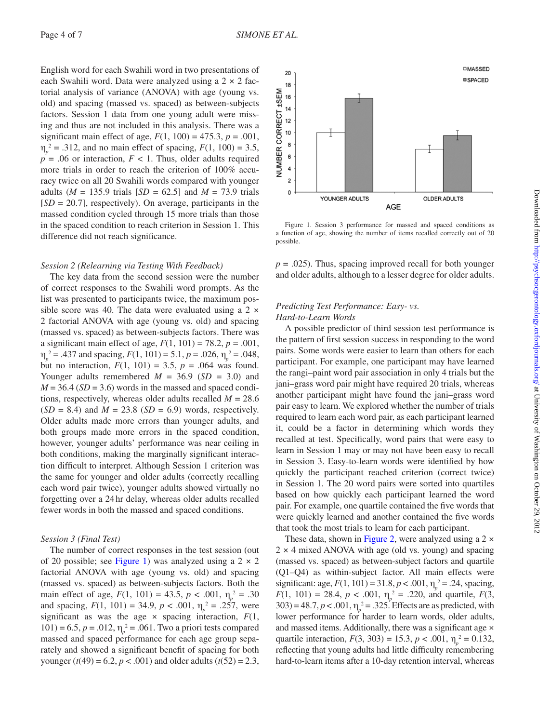English word for each Swahili word in two presentations of each Swahili word. Data were analyzed using a 2 × 2 factorial analysis of variance (ANOVA) with age (young vs. old) and spacing (massed vs. spaced) as between-subjects factors. Session 1 data from one young adult were missing and thus are not included in this analysis. There was a significant main effect of age,  $F(1, 100) = 475.3$ ,  $p = .001$ ,  $\eta_p^2$  = .312, and no main effect of spacing,  $F(1, 100) = 3.5$ ,  $p = .06$  or interaction,  $F < 1$ . Thus, older adults required more trials in order to reach the criterion of 100% accuracy twice on all 20 Swahili words compared with younger adults ( $M = 135.9$  trials  $[SD = 62.5]$  and  $M = 73.9$  trials [*SD* = 20.7], respectively). On average, participants in the massed condition cycled through 15 more trials than those in the spaced condition to reach criterion in Session 1. This difference did not reach significance.

## *Session 2 (Relearning via Testing With Feedback)*

The key data from the second session were the number of correct responses to the Swahili word prompts. As the list was presented to participants twice, the maximum possible score was 40. The data were evaluated using a  $2 \times$ 2 factorial ANOVA with age (young vs. old) and spacing (massed vs. spaced) as between-subjects factors. There was a significant main effect of age,  $F(1, 101) = 78.2$ ,  $p = .001$ ,  $\eta_p^2$  = .437 and spacing, *F*(1, 101) = 5.1, *p* = .026,  $\eta_p^2$  = .048, but no interaction,  $F(1, 101) = 3.5$ ,  $p = .064$  was found. Younger adults remembered  $M = 36.9$  (*SD* = 3.0) and  $M = 36.4$  (*SD* = 3.6) words in the massed and spaced conditions, respectively, whereas older adults recalled *M* = 28.6  $(SD = 8.4)$  and  $M = 23.8$   $(SD = 6.9)$  words, respectively. Older adults made more errors than younger adults, and both groups made more errors in the spaced condition, however, younger adults' performance was near ceiling in both conditions, making the marginally significant interaction difficult to interpret. Although Session 1 criterion was the same for younger and older adults (correctly recalling each word pair twice), younger adults showed virtually no forgetting over a 24hr delay, whereas older adults recalled fewer words in both the massed and spaced conditions.

## *Session 3 (Final Test)*

The number of correct responses in the test session (out of 20 possible; see [Figure 1](#page-3-0)) was analyzed using a  $2 \times 2$ factorial ANOVA with age (young vs. old) and spacing (massed vs. spaced) as between-subjects factors. Both the main effect of age,  $F(1, 101) = 43.5$ ,  $p < .001$ ,  $\eta_p^2 = .30$ and spacing,  $F(1, 101) = 34.9$ ,  $p < .001$ ,  $\eta_p^2 = .257$ , were significant as was the age  $\times$  spacing interaction,  $F(1,$ 101) = 6.5,  $p = .012$ ,  $\eta_p^2 = .061$ . Two a priori tests compared massed and spaced performance for each age group separately and showed a significant benefit of spacing for both younger ( $t(49) = 6.2$ ,  $p < .001$ ) and older adults ( $t(52) = 2.3$ ,



<span id="page-3-0"></span>Figure 1. Session 3 performance for massed and spaced conditions as a function of age, showing the number of items recalled correctly out of 20 possible.

 $p = .025$ ). Thus, spacing improved recall for both younger and older adults, although to a lesser degree for older adults.

## *Predicting Test Performance: Easy- vs. Hard-to-Learn Words*

A possible predictor of third session test performance is the pattern of first session success in responding to the word pairs. Some words were easier to learn than others for each participant. For example, one participant may have learned the rangi–paint word pair association in only 4 trials but the jani–grass word pair might have required 20 trials, whereas another participant might have found the jani–grass word pair easy to learn. We explored whether the number of trials required to learn each word pair, as each participant learned it, could be a factor in determining which words they recalled at test. Specifically, word pairs that were easy to learn in Session 1 may or may not have been easy to recall in Session 3. Easy-to-learn words were identified by how quickly the participant reached criterion (correct twice) in Session 1. The 20 word pairs were sorted into quartiles based on how quickly each participant learned the word pair. For example, one quartile contained the five words that were quickly learned and another contained the five words that took the most trials to learn for each participant.

These data, shown in [Figure 2](#page-4-0), were analyzed using a  $2 \times$  $2 \times 4$  mixed ANOVA with age (old vs. young) and spacing (massed vs. spaced) as between-subject factors and quartile (Q1–Q4) as within-subject factor. All main effects were significant: age,  $F(1, 101) = 31.8, p < .001, \eta_p^2 = .24$ , spacing, *F*(1, 101) = 28.4, *p* < .001,  $\eta_p^2$  = .220, and quartile, *F*(3, 303) = 48.7,  $p < .001$ ,  $\eta_p^2 = .325$ . Effects are as predicted, with lower performance for harder to learn words, older adults, and massed items. Additionally, there was a significant age  $\times$ quartile interaction,  $F(3, 303) = 15.3, p < .001, \eta_p^2 = 0.132,$ reflecting that young adults had little difficulty remembering hard-to-learn items after a 10-day retention interval, whereas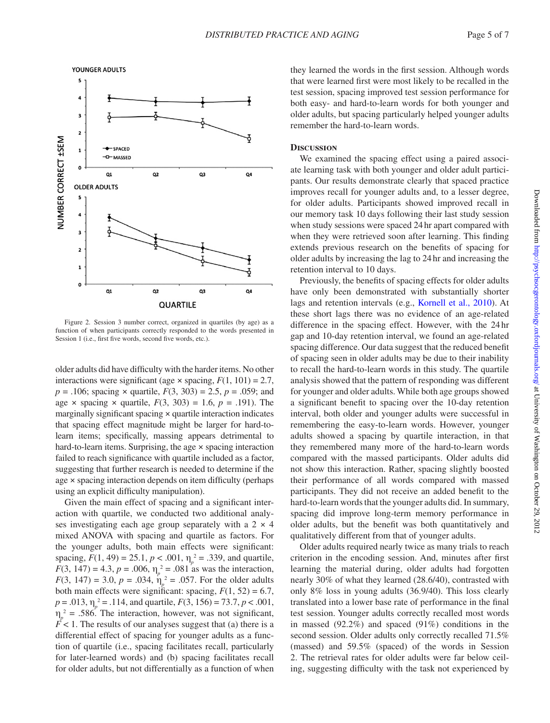

<span id="page-4-0"></span>Figure 2. Session 3 number correct, organized in quartiles (by age) as a function of when participants correctly responded to the words presented in Session 1 (i.e., first five words, second five words, etc.).

older adults did have difficulty with the harder items. No other interactions were significant (age  $\times$  spacing,  $F(1, 101) = 2.7$ , *p* = .106; spacing × quartile, *F*(3, 303) = 2.5, *p* = .059; and age  $\times$  spacing  $\times$  quartile,  $F(3, 303) = 1.6$ ,  $p = .191$ ). The marginally significant spacing × quartile interaction indicates that spacing effect magnitude might be larger for hard-tolearn items; specifically, massing appears detrimental to hard-to-learn items. Surprising, the age  $\times$  spacing interaction failed to reach significance with quartile included as a factor, suggesting that further research is needed to determine if the age × spacing interaction depends on item difficulty (perhaps using an explicit difficulty manipulation).

Given the main effect of spacing and a significant interaction with quartile, we conducted two additional analyses investigating each age group separately with a  $2 \times 4$ mixed ANOVA with spacing and quartile as factors. For the younger adults, both main effects were significant: spacing,  $F(1, 49) = 25.1$ ,  $p < .001$ ,  $\eta_p^2 = .339$ , and quartile, *F*(3, 147) = 4.3, *p* = .006,  $\eta_p^2$  = .081 as was the interaction, *F*(3, 147) = 3.0, *p* = .034,  $\eta_p^2$  = .057. For the older adults both main effects were significant: spacing,  $F(1, 52) = 6.7$ , *p* = .013, η*<sup>p</sup>* 2 = .114, and quartile, *F*(3, 156) = 73.7, *p* < .001,  $\eta_p^2$  = .586. The interaction, however, was not significant,  $F$  < 1. The results of our analyses suggest that (a) there is a differential effect of spacing for younger adults as a function of quartile (i.e., spacing facilitates recall, particularly for later-learned words) and (b) spacing facilitates recall for older adults, but not differentially as a function of when

they learned the words in the first session. Although words that were learned first were most likely to be recalled in the test session, spacing improved test session performance for both easy- and hard-to-learn words for both younger and older adults, but spacing particularly helped younger adults remember the hard-to-learn words.

## **Discussion**

We examined the spacing effect using a paired associate learning task with both younger and older adult participants. Our results demonstrate clearly that spaced practice improves recall for younger adults and, to a lesser degree, for older adults. Participants showed improved recall in our memory task 10 days following their last study session when study sessions were spaced 24hr apart compared with when they were retrieved soon after learning. This finding extends previous research on the benefits of spacing for older adults by increasing the lag to 24 hr and increasing the retention interval to 10 days.

Previously, the benefits of spacing effects for older adults have only been demonstrated with substantially shorter lags and retention intervals (e.g., [Kornell et al., 2010\)](#page-6-6). At these short lags there was no evidence of an age-related difference in the spacing effect. However, with the 24hr gap and 10-day retention interval, we found an age-related spacing difference. Our data suggest that the reduced benefit of spacing seen in older adults may be due to their inability to recall the hard-to-learn words in this study. The quartile analysis showed that the pattern of responding was different for younger and older adults. While both age groups showed a significant benefit to spacing over the 10-day retention interval, both older and younger adults were successful in remembering the easy-to-learn words. However, younger adults showed a spacing by quartile interaction, in that they remembered many more of the hard-to-learn words compared with the massed participants. Older adults did not show this interaction. Rather, spacing slightly boosted their performance of all words compared with massed participants. They did not receive an added benefit to the hard-to-learn words that the younger adults did. In summary, spacing did improve long-term memory performance in older adults, but the benefit was both quantitatively and qualitatively different from that of younger adults.

Older adults required nearly twice as many trials to reach criterion in the encoding session. And, minutes after first learning the material during, older adults had forgotten nearly 30% of what they learned (28.6/40), contrasted with only 8% loss in young adults (36.9/40). This loss clearly translated into a lower base rate of performance in the final test session. Younger adults correctly recalled most words in massed (92.2%) and spaced (91%) conditions in the second session. Older adults only correctly recalled 71.5% (massed) and 59.5% (spaced) of the words in Session 2. The retrieval rates for older adults were far below ceiling, suggesting difficulty with the task not experienced by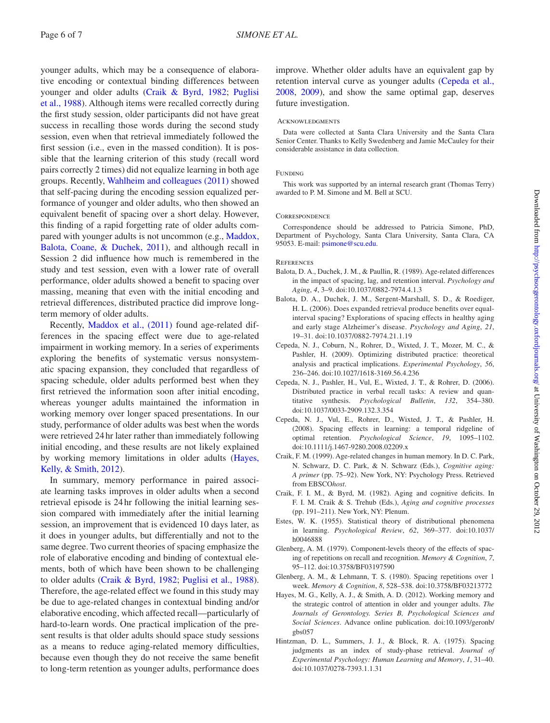younger adults, which may be a consequence of elaborative encoding or contextual binding differences between younger and older adults [\(Craik & Byrd, 1982](#page-5-10); [Puglisi](#page-6-15)  [et al., 1988](#page-6-15)). Although items were recalled correctly during the first study session, older participants did not have great success in recalling those words during the second study session, even when that retrieval immediately followed the first session (i.e., even in the massed condition). It is possible that the learning criterion of this study (recall word pairs correctly 2 times) did not equalize learning in both age groups. Recently, [Wahlheim and colleagues \(2011\)](#page-6-9) showed that self-pacing during the encoding session equalized performance of younger and older adults, who then showed an equivalent benefit of spacing over a short delay. However, this finding of a rapid forgetting rate of older adults compared with younger adults is not uncommon (e.g., [Maddox,](#page-6-8)  [Balota, Coane, & Duchek, 2011\)](#page-6-8), and although recall in Session 2 did influence how much is remembered in the study and test session, even with a lower rate of overall performance, older adults showed a benefit to spacing over massing, meaning that even with the initial encoding and retrieval differences, distributed practice did improve longterm memory of older adults.

Recently, Maddox et al., (2011) found age-related differences in the spacing effect were due to age-related impairment in working memory. In a series of experiments exploring the benefits of systematic versus nonsystematic spacing expansion, they concluded that regardless of spacing schedule, older adults performed best when they first retrieved the information soon after initial encoding, whereas younger adults maintained the information in working memory over longer spaced presentations. In our study, performance of older adults was best when the words were retrieved 24hr later rather than immediately following initial encoding, and these results are not likely explained by working memory limitations in older adults [\(Hayes,](#page-5-11)  [Kelly, & Smith, 2012\)](#page-5-11).

In summary, memory performance in paired associate learning tasks improves in older adults when a second retrieval episode is 24 hr following the initial learning session compared with immediately after the initial learning session, an improvement that is evidenced 10 days later, as it does in younger adults, but differentially and not to the same degree. Two current theories of spacing emphasize the role of elaborative encoding and binding of contextual elements, both of which have been shown to be challenging to older adults [\(Craik & Byrd, 1982;](#page-5-10) [Puglisi et al., 1988\)](#page-6-15). Therefore, the age-related effect we found in this study may be due to age-related changes in contextual binding and/or elaborative encoding, which affected recall—particularly of hard-to-learn words. One practical implication of the present results is that older adults should space study sessions as a means to reduce aging-related memory difficulties, because even though they do not receive the same benefit to long-term retention as younger adults, performance does improve. Whether older adults have an equivalent gap by retention interval curve as younger adults (Cepeda et al., [2008,](#page-5-7) [2009\)](#page-5-9), and show the same optimal gap, deserves future investigation.

## **ACKNOWLEDGMENTS**

Data were collected at Santa Clara University and the Santa Clara Senior Center. Thanks to Kelly Swedenberg and Jamie McCauley for their considerable assistance in data collection.

#### FUNDING

This work was supported by an internal research grant (Thomas Terry) awarded to P. M. Simone and M. Bell at SCU.

#### **CORRESPONDENCE**

Correspondence should be addressed to Patricia Simone, PhD, Department of Psychology, Santa Clara University, Santa Clara, CA 95053. E-mail: [psimone@scu.edu](mailto:psimone@scu.edu).

#### **REFERENCES**

- <span id="page-5-1"></span>Balota, D. A., Duchek, J. M., & Paullin, R. (1989). Age-related differences in the impact of spacing, lag, and retention interval. *Psychology and Aging*, *4*, 3–9. doi:10.1037/0882-7974.4.1.3
- <span id="page-5-2"></span>Balota, D. A., Duchek, J. M., Sergent-Marshall, S. D., & Roediger, H. L. (2006). Does expanded retrieval produce benefits over equalinterval spacing? Explorations of spacing effects in healthy aging and early stage Alzheimer's disease. *Psychology and Aging*, *21*, 19–31. doi:10.1037/0882-7974.21.1.19
- <span id="page-5-9"></span>Cepeda, N. J., Coburn, N., Rohrer, D., Wixted, J. T., Mozer, M. C., & Pashler, H. (2009). Optimizing distributed practice: theoretical analysis and practical implications. *Experimental Psychology*, *56*, 236–246. doi:10.1027/1618-3169.56.4.236
- <span id="page-5-3"></span>Cepeda, N. J., Pashler, H., Vul, E., Wixted, J. T., & Rohrer, D. (2006). Distributed practice in verbal recall tasks: A review and quantitative synthesis. *Psychological Bulletin*, *132*, 354–380. doi:10.1037/0033-2909.132.3.354
- <span id="page-5-7"></span>Cepeda, N. J., Vul, E., Rohrer, D., Wixted, J. T., & Pashler, H. (2008). Spacing effects in learning: a temporal ridgeline of optimal retention. *Psychological Science*, *19*, 1095–1102. doi:10.1111/j.1467-9280.2008.02209.x
- <span id="page-5-0"></span>Craik, F. M. (1999). Age-related changes in human memory. In D. C. Park, N. Schwarz, D. C. Park, & N. Schwarz (Eds.), *Cognitive aging: A primer* (pp. 75–92). New York, NY: Psychology Press. Retrieved from EBSCO*host*.
- <span id="page-5-10"></span>Craik, F. I. M., & Byrd, M. (1982). Aging and cognitive deficits. In F. I. M. Craik & S. Trehub (Eds.), *Aging and cognitive processes* (pp. 191–211). New York, NY: Plenum.
- <span id="page-5-5"></span>Estes, W. K. (1955). Statistical theory of distributional phenomena in learning. *Psychological Review*, *62*, 369–377. doi:10.1037/ h0046888
- <span id="page-5-6"></span>Glenberg, A. M. (1979). Component-levels theory of the effects of spacing of repetitions on recall and recognition. *Memory & Cognition*, *7*, 95–112. doi:10.3758/BF03197590
- <span id="page-5-8"></span>Glenberg, A. M., & Lehmann, T. S. (1980). Spacing repetitions over 1 week. *Memory & Cognition*, *8*, 528–538. doi:10.3758/BF03213772
- <span id="page-5-11"></span>Hayes, M. G., Kelly, A. J., & Smith, A. D. (2012). Working memory and the strategic control of attention in older and younger adults. *The Journals of Gerontology. Series B, Psychological Sciences and Social Sciences*. Advance online publication. doi:10.1093/geronb/ gbs057
- <span id="page-5-4"></span>Hintzman, D. L., Summers, J. J., & Block, R. A. (1975). Spacing judgments as an index of study-phase retrieval. *Journal of Experimental Psychology: Human Learning and Memory*, *1*, 31–40. doi:10.1037/0278-7393.1.1.31